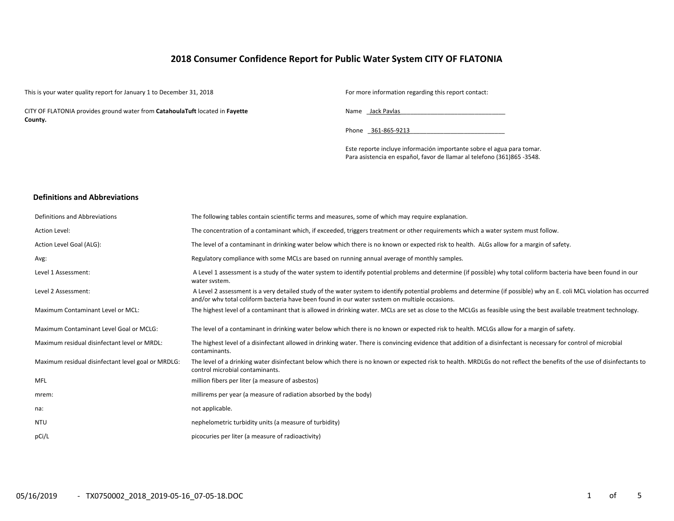# **2018 Consumer Confidence Report for Public Water System CITY OF FLATONIA**

This is your water quality report for January 1 to December 31, 2018 For more information regarding this report contact:

CITY OF FLATONIA provides ground water from **CatahoulaTuft** located in **Fayette County.**

Name \_\_ Jack Pavlas

Phone 361-865-9213

Este reporte incluye información importante sobre el agua para tomar. Para asistencia en español, favor de llamar al telefono (361)865 ‐3548.

#### **Definitions and Abbreviations**

| Definitions and Abbreviations                      | The following tables contain scientific terms and measures, some of which may require explanation.                                                                                                                                                                      |
|----------------------------------------------------|-------------------------------------------------------------------------------------------------------------------------------------------------------------------------------------------------------------------------------------------------------------------------|
| <b>Action Level:</b>                               | The concentration of a contaminant which, if exceeded, triggers treatment or other requirements which a water system must follow.                                                                                                                                       |
| Action Level Goal (ALG):                           | The level of a contaminant in drinking water below which there is no known or expected risk to health. ALGs allow for a margin of safety.                                                                                                                               |
| Avg:                                               | Regulatory compliance with some MCLs are based on running annual average of monthly samples.                                                                                                                                                                            |
| Level 1 Assessment:                                | A Level 1 assessment is a study of the water system to identify potential problems and determine (if possible) why total coliform bacteria have been found in our<br>water system.                                                                                      |
| Level 2 Assessment:                                | A Level 2 assessment is a very detailed study of the water system to identify potential problems and determine (if possible) why an E. coli MCL violation has occurred<br>and/or why total coliform bacteria have been found in our water system on multiple occasions. |
| <b>Maximum Contaminant Level or MCL:</b>           | The highest level of a contaminant that is allowed in drinking water. MCLs are set as close to the MCLGs as feasible using the best available treatment technology.                                                                                                     |
| Maximum Contaminant Level Goal or MCLG:            | The level of a contaminant in drinking water below which there is no known or expected risk to health. MCLGs allow for a margin of safety.                                                                                                                              |
| Maximum residual disinfectant level or MRDL:       | The highest level of a disinfectant allowed in drinking water. There is convincing evidence that addition of a disinfectant is necessary for control of microbial<br>contaminants.                                                                                      |
| Maximum residual disinfectant level goal or MRDLG: | The level of a drinking water disinfectant below which there is no known or expected risk to health. MRDLGs do not reflect the benefits of the use of disinfectants to<br>control microbial contaminants.                                                               |
| <b>MFL</b>                                         | million fibers per liter (a measure of asbestos)                                                                                                                                                                                                                        |
| mrem:                                              | millirems per year (a measure of radiation absorbed by the body)                                                                                                                                                                                                        |
| na:                                                | not applicable.                                                                                                                                                                                                                                                         |
| <b>NTU</b>                                         | nephelometric turbidity units (a measure of turbidity)                                                                                                                                                                                                                  |
| pCi/L                                              | picocuries per liter (a measure of radioactivity)                                                                                                                                                                                                                       |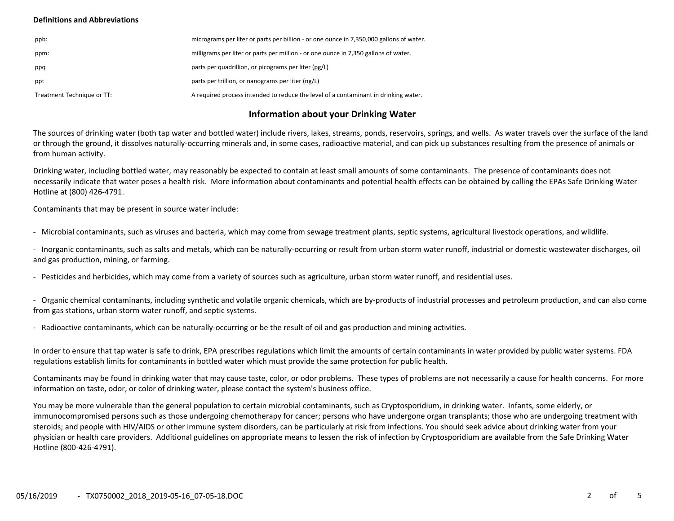## **Definitions and Abbreviations**

| ppb:                       | micrograms per liter or parts per billion - or one ounce in 7,350,000 gallons of water. |
|----------------------------|-----------------------------------------------------------------------------------------|
| ppm:                       | milligrams per liter or parts per million - or one ounce in 7,350 gallons of water.     |
| ppq                        | parts per quadrillion, or picograms per liter (pg/L)                                    |
| ppt                        | parts per trillion, or nanograms per liter (ng/L)                                       |
| Treatment Technique or TT: | A required process intended to reduce the level of a contaminant in drinking water.     |

# **Information about your Drinking Water**

The sources of drinking water (both tap water and bottled water) include rivers, lakes, streams, ponds, reservoirs, springs, and wells. As water travels over the surface of the land or through the ground, it dissolves naturally‐occurring minerals and, in some cases, radioactive material, and can pick up substances resulting from the presence of animals or from human activity.

Drinking water, including bottled water, may reasonably be expected to contain at least small amounts of some contaminants. The presence of contaminants does not necessarily indicate that water poses a health risk. More information about contaminants and potential health effects can be obtained by calling the EPAs Safe Drinking Water Hotline at (800) 426‐4791.

Contaminants that may be present in source water include:

‐ Microbial contaminants, such as viruses and bacteria, which may come from sewage treatment plants, septic systems, agricultural livestock operations, and wildlife.

‐ Inorganic contaminants, such as salts and metals, which can be naturally‐occurring or result from urban storm water runoff, industrial or domestic wastewater discharges, oil and gas production, mining, or farming.

‐ Pesticides and herbicides, which may come from a variety of sources such as agriculture, urban storm water runoff, and residential uses.

‐ Organic chemical contaminants, including synthetic and volatile organic chemicals, which are by‐products of industrial processes and petroleum production, and can also come from gas stations, urban storm water runoff, and septic systems.

‐ Radioactive contaminants, which can be naturally‐occurring or be the result of oil and gas production and mining activities.

In order to ensure that tap water is safe to drink, EPA prescribes regulations which limit the amounts of certain contaminants in water provided by public water systems. FDA regulations establish limits for contaminants in bottled water which must provide the same protection for public health.

Contaminants may be found in drinking water that may cause taste, color, or odor problems. These types of problems are not necessarily a cause for health concerns. For more information on taste, odor, or color of drinking water, please contact the system's business office.

You may be more vulnerable than the general population to certain microbial contaminants, such as Cryptosporidium, in drinking water. Infants, some elderly, or immunocompromised persons such as those undergoing chemotherapy for cancer; persons who have undergone organ transplants; those who are undergoing treatment with steroids; and people with HIV/AIDS or other immune system disorders, can be particularly at risk from infections. You should seek advice about drinking water from your physician or health care providers. Additional guidelines on appropriate means to lessen the risk of infection by Cryptosporidium are available from the Safe Drinking Water Hotline (800‐426‐4791).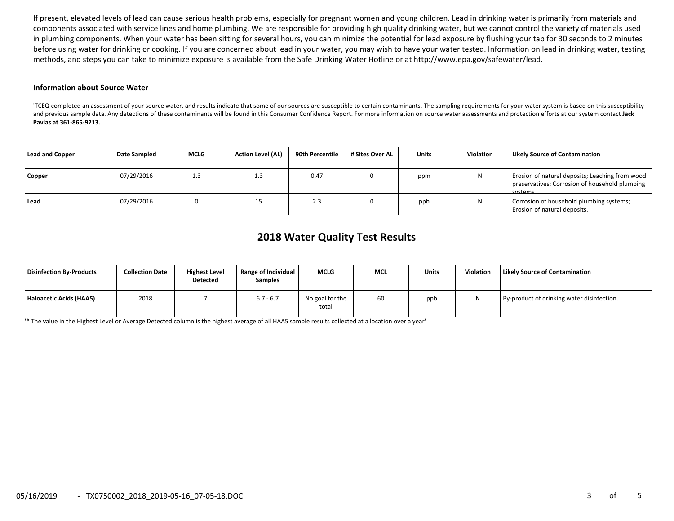If present, elevated levels of lead can cause serious health problems, especially for pregnant women and young children. Lead in drinking water is primarily from materials and components associated with service lines and home plumbing. We are responsible for providing high quality drinking water, but we cannot control the variety of materials used in plumbing components. When your water has been sitting for several hours, you can minimize the potential for lead exposure by flushing your tap for 30 seconds to 2 minutes before using water for drinking or cooking. If you are concerned about lead in your water, you may wish to have your water tested. Information on lead in drinking water, testing methods, and steps you can take to minimize exposure is available from the Safe Drinking Water Hotline or at http://www.epa.gov/safewater/lead.

## **Information about Source Water**

'TCEQ completed an assessment of your source water, and results indicate that some of our sources are susceptible to certain contaminants. The sampling requirements for your water system is based on this susceptibility and previous sample data. Any detections of these contaminants will be found in this Consumer Confidence Report. For more information on source water assessments and protection efforts at our system contact **Jack Pavlas at 361‐865‐9213.**

| Lead and Copper | Date Sampled | <b>MCLG</b> | <b>Action Level (AL)</b> | 90th Percentile | # Sites Over AL | <b>Units</b> | Violation | <b>Likely Source of Contamination</b>                                                                               |
|-----------------|--------------|-------------|--------------------------|-----------------|-----------------|--------------|-----------|---------------------------------------------------------------------------------------------------------------------|
| Copper          | 07/29/2016   | 1.3         |                          | 0.47            |                 | ppm          | N         | Erosion of natural deposits; Leaching from wood<br>preservatives; Corrosion of household plumbing<br><b>Cyctome</b> |
| Lead            | 07/29/2016   |             | 15                       | د.ء             |                 | ppb          | N         | Corrosion of household plumbing systems;<br>Erosion of natural deposits.                                            |

# **2018 Water Quality Test Results**

| Disinfection By-Products | <b>Collection Date</b> | <b>Highest Level</b><br>Detected | Range of Individual<br><b>Samples</b> | <b>MCLG</b>              | <b>MCL</b> | Units | Violation | <b>Likely Source of Contamination</b>      |
|--------------------------|------------------------|----------------------------------|---------------------------------------|--------------------------|------------|-------|-----------|--------------------------------------------|
| Haloacetic Acids (HAA5)  | 2018                   |                                  | $6.7 - 6.7$                           | No goal for the<br>total | 60         | ppb   |           | By-product of drinking water disinfection. |

'\* The value in the Highest Level or Average Detected column is the highest average of all HAA5 sample results collected at a location over a year'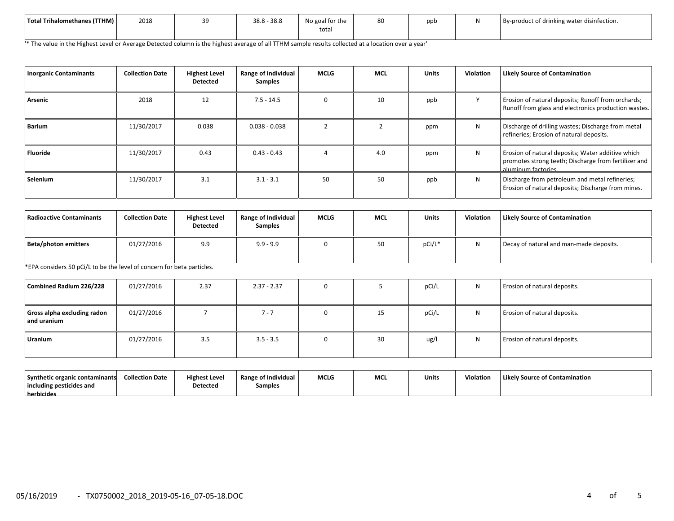| Total Trihalomethanes (TTHM) | 2018 | -- | $38.8 - 38.8$ | $\sim$ $\sim$ $\sim$ $\sim$<br>No goal for the<br>tota. | 80 | nnt. | By-product of drinking water disinfection. |
|------------------------------|------|----|---------------|---------------------------------------------------------|----|------|--------------------------------------------|
|                              |      |    |               |                                                         |    |      |                                            |

'\* The value in the Highest Level or Average Detected column is the highest average of all TTHM sample results collected at a location over a year'

| <b>Inorganic Contaminants</b> | <b>Collection Date</b> | <b>Highest Level</b><br><b>Detected</b> | Range of Individual<br><b>Samples</b> | <b>MCLG</b> | <b>MCL</b> | <b>Units</b> | <b>Violation</b> | <b>Likely Source of Contamination</b>                                                                                            |
|-------------------------------|------------------------|-----------------------------------------|---------------------------------------|-------------|------------|--------------|------------------|----------------------------------------------------------------------------------------------------------------------------------|
| Arsenic                       | 2018                   | 12                                      | $7.5 - 14.5$                          |             | 10         | ppb          |                  | Erosion of natural deposits; Runoff from orchards;<br>Runoff from glass and electronics production wastes.                       |
| <b>Barium</b>                 | 11/30/2017             | 0.038                                   | $0.038 - 0.038$                       |             |            | ppm          | N                | Discharge of drilling wastes; Discharge from metal<br>refineries; Erosion of natural deposits.                                   |
| Fluoride                      | 11/30/2017             | 0.43                                    | $0.43 - 0.43$                         |             | 4.0        | ppm          | N                | Erosion of natural deposits; Water additive which<br>promotes strong teeth; Discharge from fertilizer and<br>aluminum factories. |
| Selenium                      | 11/30/2017             | 3.1                                     | $3.1 - 3.1$                           | 50          | 50         | ppb          | N                | Discharge from petroleum and metal refineries;<br>Erosion of natural deposits; Discharge from mines.                             |

| Radioactive Contaminants | <b>Collection Date</b> | <b>Highest Level</b><br>Detected | Range of Individual<br><b>Samples</b> | <b>MCLG</b> | <b>MCL</b> | <b>Units</b> | <b>Violation</b> | <b>Likely Source of Contamination</b>   |
|--------------------------|------------------------|----------------------------------|---------------------------------------|-------------|------------|--------------|------------------|-----------------------------------------|
| Beta/photon emitters     | 01/27/2016             | 9.9                              | $9.9 - 9.9$                           |             | 50         | pCi/L*       |                  | Decay of natural and man-made deposits. |

\*EPA considers 50 pCi/L to be the level of concern for beta particles.

| Combined Radium 226/228                    | 01/27/2016 | 2.37 | $2.37 - 2.37$ |    | pCi/L | N | Erosion of natural deposits. |
|--------------------------------------------|------------|------|---------------|----|-------|---|------------------------------|
| Gross alpha excluding radon<br>and uranium | 01/27/2016 |      | 1 - 7         | 15 | pCi/L | N | Erosion of natural deposits. |
| Uranium                                    | 01/27/2016 | 3.5  | $3.5 - 3.5$   | 30 | ug/l  | N | Erosion of natural deposits. |

| Synthetic organic contaminants | <b>Collection Date</b> | <b>Highest Level</b> | <b>Range of Individual</b> | <b>MCLG</b> | <b>MC</b> | <b>Units</b> | Violation | Likely Source of Contamination |
|--------------------------------|------------------------|----------------------|----------------------------|-------------|-----------|--------------|-----------|--------------------------------|
| including pesticides and       |                        | <b>Detected</b>      | Samples                    |             |           |              |           |                                |
| herbicides                     |                        |                      |                            |             |           |              |           |                                |